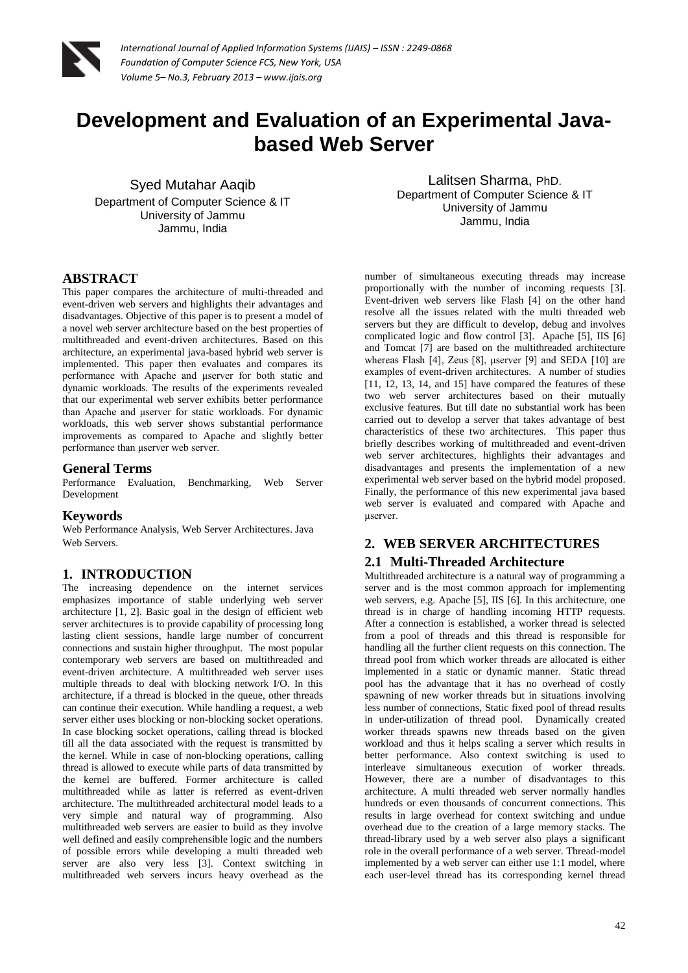

# **Development and Evaluation of an Experimental Javabased Web Server**

Syed Mutahar Aaqib Department of Computer Science & IT University of Jammu Jammu, India

Lalitsen Sharma, PhD. Department of Computer Science & IT University of Jammu Jammu, India

# **ABSTRACT**

This paper compares the architecture of multi-threaded and event-driven web servers and highlights their advantages and disadvantages. Objective of this paper is to present a model of a novel web server architecture based on the best properties of multithreaded and event-driven architectures. Based on this architecture, an experimental java-based hybrid web server is implemented. This paper then evaluates and compares its performance with Apache and μserver for both static and dynamic workloads. The results of the experiments revealed that our experimental web server exhibits better performance than Apache and μserver for static workloads. For dynamic workloads, this web server shows substantial performance improvements as compared to Apache and slightly better performance than μserver web server.

# **General Terms**

Performance Evaluation, Benchmarking, Web Server Development

## **Keywords**

Web Performance Analysis, Web Server Architectures. Java Web Servers.

## **1. INTRODUCTION**

The increasing dependence on the internet services emphasizes importance of stable underlying web server architecture [1, 2]. Basic goal in the design of efficient web server architectures is to provide capability of processing long lasting client sessions, handle large number of concurrent connections and sustain higher throughput. The most popular contemporary web servers are based on multithreaded and event-driven architecture. A multithreaded web server uses multiple threads to deal with blocking network I/O. In this architecture, if a thread is blocked in the queue, other threads can continue their execution. While handling a request, a web server either uses blocking or non-blocking socket operations. In case blocking socket operations, calling thread is blocked till all the data associated with the request is transmitted by the kernel. While in case of non-blocking operations, calling thread is allowed to execute while parts of data transmitted by the kernel are buffered. Former architecture is called multithreaded while as latter is referred as event-driven architecture. The multithreaded architectural model leads to a very simple and natural way of programming. Also multithreaded web servers are easier to build as they involve well defined and easily comprehensible logic and the numbers of possible errors while developing a multi threaded web server are also very less [3]. Context switching in multithreaded web servers incurs heavy overhead as the number of simultaneous executing threads may increase proportionally with the number of incoming requests [3]. Event-driven web servers like Flash [4] on the other hand resolve all the issues related with the multi threaded web servers but they are difficult to develop, debug and involves complicated logic and flow control [3]. Apache [5], IIS [6] and Tomcat [7] are based on the multithreaded architecture whereas Flash [4], Zeus [8], μserver [9] and SEDA [10] are examples of event-driven architectures. A number of studies [11, 12, 13, 14, and 15] have compared the features of these two web server architectures based on their mutually exclusive features. But till date no substantial work has been carried out to develop a server that takes advantage of best characteristics of these two architectures. This paper thus briefly describes working of multithreaded and event-driven web server architectures, highlights their advantages and disadvantages and presents the implementation of a new experimental web server based on the hybrid model proposed. Finally, the performance of this new experimental java based web server is evaluated and compared with Apache and μserver.

# **2. WEB SERVER ARCHITECTURES**

## **2.1 Multi-Threaded Architecture**

Multithreaded architecture is a natural way of programming a server and is the most common approach for implementing web servers, e.g. Apache [5], IIS [6]. In this architecture, one thread is in charge of handling incoming HTTP requests. After a connection is established, a worker thread is selected from a pool of threads and this thread is responsible for handling all the further client requests on this connection. The thread pool from which worker threads are allocated is either implemented in a static or dynamic manner. Static thread pool has the advantage that it has no overhead of costly spawning of new worker threads but in situations involving less number of connections, Static fixed pool of thread results in under-utilization of thread pool. Dynamically created worker threads spawns new threads based on the given workload and thus it helps scaling a server which results in better performance. Also context switching is used to interleave simultaneous execution of worker threads. However, there are a number of disadvantages to this architecture. A multi threaded web server normally handles hundreds or even thousands of concurrent connections. This results in large overhead for context switching and undue overhead due to the creation of a large memory stacks. The thread-library used by a web server also plays a significant role in the overall performance of a web server. Thread-model implemented by a web server can either use 1:1 model, where each user-level thread has its corresponding kernel thread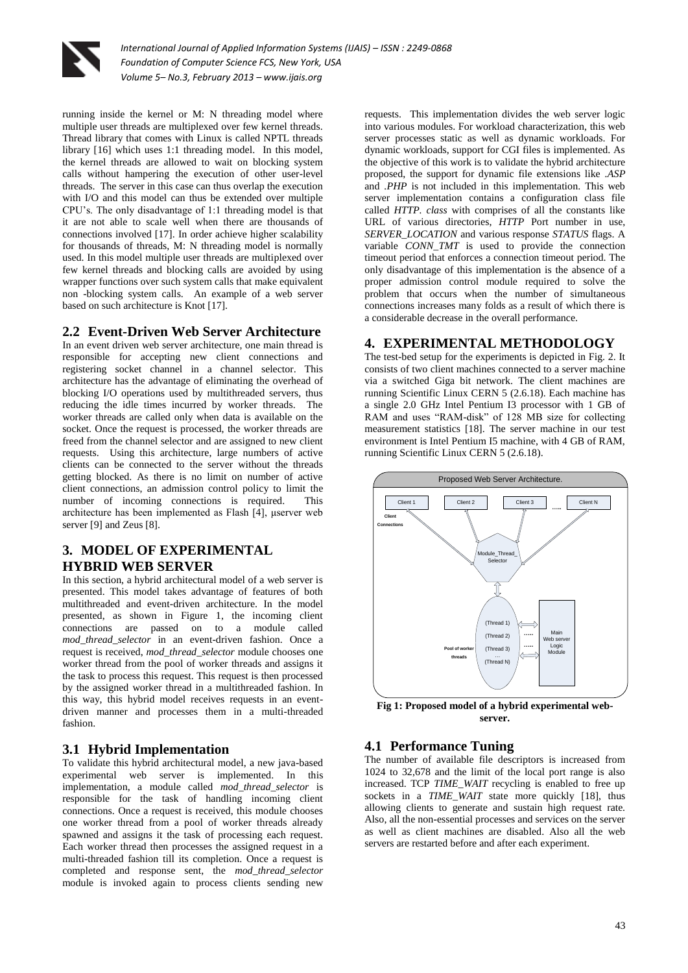

running inside the kernel or M: N threading model where multiple user threads are multiplexed over few kernel threads. Thread library that comes with Linux is called NPTL threads library [16] which uses 1:1 threading model. In this model, the kernel threads are allowed to wait on blocking system calls without hampering the execution of other user-level threads. The server in this case can thus overlap the execution with I/O and this model can thus be extended over multiple CPU's. The only disadvantage of 1:1 threading model is that it are not able to scale well when there are thousands of connections involved [17]. In order achieve higher scalability for thousands of threads, M: N threading model is normally used. In this model multiple user threads are multiplexed over few kernel threads and blocking calls are avoided by using wrapper functions over such system calls that make equivalent non -blocking system calls. An example of a web server based on such architecture is Knot [17].

### **2.2 Event-Driven Web Server Architecture**

In an event driven web server architecture, one main thread is responsible for accepting new client connections and registering socket channel in a channel selector. This architecture has the advantage of eliminating the overhead of blocking I/O operations used by multithreaded servers, thus reducing the idle times incurred by worker threads. The worker threads are called only when data is available on the socket. Once the request is processed, the worker threads are freed from the channel selector and are assigned to new client requests. Using this architecture, large numbers of active clients can be connected to the server without the threads getting blocked. As there is no limit on number of active client connections, an admission control policy to limit the number of incoming connections is required. This architecture has been implemented as Flash [4], μserver web server [9] and Zeus [8].

## **3. MODEL OF EXPERIMENTAL HYBRID WEB SERVER**

In this section, a hybrid architectural model of a web server is presented. This model takes advantage of features of both multithreaded and event-driven architecture. In the model presented, as shown in Figure 1, the incoming client connections are passed on to a module called *mod\_thread\_selector* in an event-driven fashion. Once a request is received, *mod\_thread\_selector* module chooses one worker thread from the pool of worker threads and assigns it the task to process this request. This request is then processed by the assigned worker thread in a multithreaded fashion. In this way, this hybrid model receives requests in an eventdriven manner and processes them in a multi-threaded fashion.

## **3.1 Hybrid Implementation**

To validate this hybrid architectural model, a new java-based experimental web server is implemented. In this implementation, a module called *mod\_thread\_selector* is responsible for the task of handling incoming client connections. Once a request is received, this module chooses one worker thread from a pool of worker threads already spawned and assigns it the task of processing each request. Each worker thread then processes the assigned request in a multi-threaded fashion till its completion. Once a request is completed and response sent, the *mod\_thread\_selector* module is invoked again to process clients sending new

requests. This implementation divides the web server logic into various modules. For workload characterization, this web server processes static as well as dynamic workloads. For dynamic workloads, support for CGI files is implemented. As the objective of this work is to validate the hybrid architecture proposed, the support for dynamic file extensions like *.ASP* and *.PHP* is not included in this implementation. This web server implementation contains a configuration class file called *HTTP. class* with comprises of all the constants like URL of various directories, *HTTP* Port number in use, *SERVER\_LOCATION* and various response *STATUS* flags. A variable *CONN\_TMT* is used to provide the connection timeout period that enforces a connection timeout period. The only disadvantage of this implementation is the absence of a proper admission control module required to solve the problem that occurs when the number of simultaneous connections increases many folds as a result of which there is a considerable decrease in the overall performance.

## **4. EXPERIMENTAL METHODOLOGY**

The test-bed setup for the experiments is depicted in Fig. 2. It consists of two client machines connected to a server machine via a switched Giga bit network. The client machines are running Scientific Linux CERN 5 (2.6.18). Each machine has a single 2.0 GHz Intel Pentium I3 processor with 1 GB of RAM and uses "RAM-disk" of 128 MB size for collecting measurement statistics [18]. The server machine in our test environment is Intel Pentium I5 machine, with 4 GB of RAM, running Scientific Linux CERN 5 (2.6.18).



**Fig 1: Proposed model of a hybrid experimental webserver.**

#### **4.1 Performance Tuning**

The number of available file descriptors is increased from 1024 to 32,678 and the limit of the local port range is also increased. TCP *TIME\_WAIT* recycling is enabled to free up sockets in a *TIME WAIT* state more quickly [18], thus allowing clients to generate and sustain high request rate. Also, all the non-essential processes and services on the server as well as client machines are disabled. Also all the web servers are restarted before and after each experiment.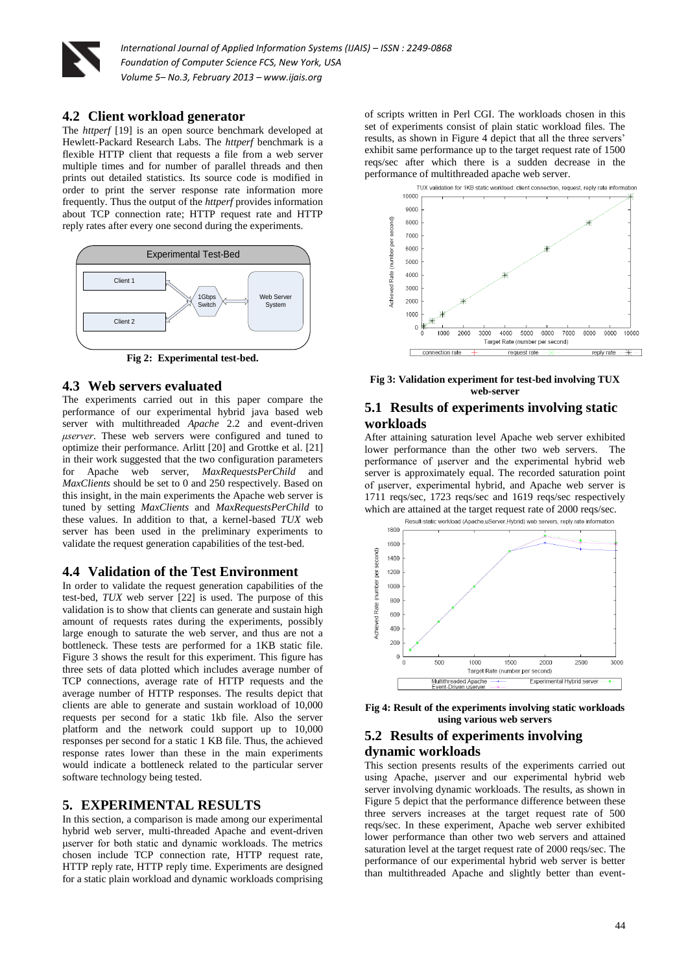

#### **4.2 Client workload generator**

The *httperf* [19] is an open source benchmark developed at Hewlett-Packard Research Labs. The *httperf* benchmark is a flexible HTTP client that requests a file from a web server multiple times and for number of parallel threads and then prints out detailed statistics. Its source code is modified in order to print the server response rate information more frequently. Thus the output of the *httperf* provides information about TCP connection rate; HTTP request rate and HTTP reply rates after every one second during the experiments.



**Fig 2: Experimental test-bed.**

#### **4.3 Web servers evaluated**

The experiments carried out in this paper compare the performance of our experimental hybrid java based web server with multithreaded *Apache* 2.2 and event-driven *μserver*. These web servers were configured and tuned to optimize their performance. Arlitt [20] and Grottke et al. [21] in their work suggested that the two configuration parameters for Apache web server, *MaxRequestsPerChild* and *MaxClients* should be set to 0 and 250 respectively. Based on this insight, in the main experiments the Apache web server is tuned by setting *MaxClients* and *MaxRequestsPerChild* to these values. In addition to that, a kernel-based *TUX* web server has been used in the preliminary experiments to validate the request generation capabilities of the test-bed.

#### **4.4 Validation of the Test Environment**

In order to validate the request generation capabilities of the test-bed, *TUX* web server [22] is used. The purpose of this validation is to show that clients can generate and sustain high amount of requests rates during the experiments, possibly large enough to saturate the web server, and thus are not a bottleneck. These tests are performed for a 1KB static file. Figure 3 shows the result for this experiment. This figure has three sets of data plotted which includes average number of TCP connections, average rate of HTTP requests and the average number of HTTP responses. The results depict that clients are able to generate and sustain workload of 10,000 requests per second for a static 1kb file. Also the server platform and the network could support up to 10,000 responses per second for a static 1 KB file. Thus, the achieved response rates lower than these in the main experiments would indicate a bottleneck related to the particular server software technology being tested.

#### **5. EXPERIMENTAL RESULTS**

In this section, a comparison is made among our experimental hybrid web server, multi-threaded Apache and event-driven μserver for both static and dynamic workloads. The metrics chosen include TCP connection rate, HTTP request rate, HTTP reply rate, HTTP reply time. Experiments are designed for a static plain workload and dynamic workloads comprising of scripts written in Perl CGI. The workloads chosen in this set of experiments consist of plain static workload files. The results, as shown in Figure 4 depict that all the three servers' exhibit same performance up to the target request rate of 1500 reqs/sec after which there is a sudden decrease in the performance of multithreaded apache web server.



**Fig 3: Validation experiment for test-bed involving TUX web-server**

## **5.1 Results of experiments involving static workloads**

After attaining saturation level Apache web server exhibited lower performance than the other two web servers. The performance of μserver and the experimental hybrid web server is approximately equal. The recorded saturation point of μserver, experimental hybrid, and Apache web server is 1711 reqs/sec, 1723 reqs/sec and 1619 reqs/sec respectively which are attained at the target request rate of 2000 reqs/sec.



**Fig 4: Result of the experiments involving static workloads using various web servers**

# **5.2 Results of experiments involving dynamic workloads**

This section presents results of the experiments carried out using Apache, μserver and our experimental hybrid web server involving dynamic workloads. The results, as shown in Figure 5 depict that the performance difference between these three servers increases at the target request rate of 500 reqs/sec. In these experiment, Apache web server exhibited lower performance than other two web servers and attained saturation level at the target request rate of 2000 reqs/sec. The performance of our experimental hybrid web server is better than multithreaded Apache and slightly better than event-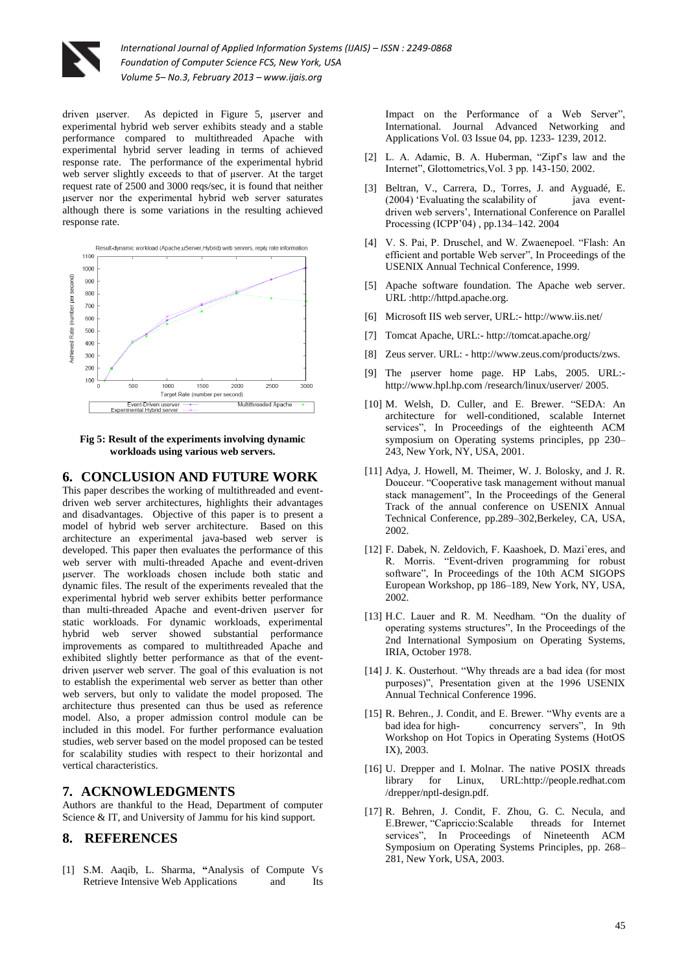

driven μserver. As depicted in Figure 5, μserver and experimental hybrid web server exhibits steady and a stable performance compared to multithreaded Apache with experimental hybrid server leading in terms of achieved response rate. The performance of the experimental hybrid web server slightly exceeds to that of μserver. At the target request rate of 2500 and 3000 reqs/sec, it is found that neither μserver nor the experimental hybrid web server saturates although there is some variations in the resulting achieved response rate.



**Fig 5: Result of the experiments involving dynamic workloads using various web servers.**

#### **6. CONCLUSION AND FUTURE WORK**

This paper describes the working of multithreaded and eventdriven web server architectures, highlights their advantages and disadvantages. Objective of this paper is to present a model of hybrid web server architecture. Based on this architecture an experimental java-based web server is developed. This paper then evaluates the performance of this web server with multi-threaded Apache and event-driven μserver. The workloads chosen include both static and dynamic files. The result of the experiments revealed that the experimental hybrid web server exhibits better performance than multi-threaded Apache and event-driven μserver for static workloads. For dynamic workloads, experimental hybrid web server showed substantial performance improvements as compared to multithreaded Apache and exhibited slightly better performance as that of the eventdriven μserver web server. The goal of this evaluation is not to establish the experimental web server as better than other web servers, but only to validate the model proposed. The architecture thus presented can thus be used as reference model. Also, a proper admission control module can be included in this model. For further performance evaluation studies, web server based on the model proposed can be tested for scalability studies with respect to their horizontal and vertical characteristics.

#### **7. ACKNOWLEDGMENTS**

Authors are thankful to the Head, Department of computer Science & IT, and University of Jammu for his kind support.

## **8. REFERENCES**

[1] S.M. Aaqib, L. Sharma, **"**Analysis of Compute Vs Retrieve Intensive Web Applications and Its

Impact on the Performance of a Web Server", International. Journal Advanced Networking and Applications Vol. 03 Issue 04, pp. 1233- 1239, 2012.

- [2] L. A. Adamic, B. A. Huberman, "Zipf's law and the Internet", Glottometrics,Vol. 3 pp. 143-150. 2002.
- [3] Beltran, V., Carrera, D., Torres, J. and Ayguadé, E. (2004) 'Evaluating the scalability of java eventdriven web servers', International Conference on Parallel Processing (ICPP'04) , pp.134–142. 2004
- [4] V. S. Pai, P. Druschel, and W. Zwaenepoel. "Flash: An efficient and portable Web server", In Proceedings of the USENIX Annual Technical Conference, 1999.
- [5] Apache software foundation. The Apache web server. URL :http://httpd.apache.org.
- [6] Microsoft IIS web server, URL:- http://www.iis.net/
- [7] Tomcat Apache, URL:- http://tomcat.apache.org/
- [8] Zeus server. URL: http://www.zeus.com/products/zws.
- [9] The μserver home page. HP Labs, 2005. URL: http://www.hpl.hp.com /research/linux/userver/ 2005.
- [10] M. Welsh, D. Culler, and E. Brewer. "SEDA: An architecture for well-conditioned, scalable Internet services", In Proceedings of the eighteenth ACM symposium on Operating systems principles, pp 230– 243, New York, NY, USA, 2001.
- [11] Adva, J. Howell, M. Theimer, W. J. Bolosky, and J. R. Douceur. "Cooperative task management without manual stack management", In the Proceedings of the General Track of the annual conference on USENIX Annual Technical Conference, pp.289–302,Berkeley, CA, USA, 2002.
- [12] F. Dabek, N. Zeldovich, F. Kaashoek, D. Mazi`eres, and R. Morris. "Event-driven programming for robust software", In Proceedings of the 10th ACM SIGOPS European Workshop, pp 186–189, New York, NY, USA, 2002.
- [13] H.C. Lauer and R. M. Needham. "On the duality of operating systems structures", In the Proceedings of the 2nd International Symposium on Operating Systems, IRIA, October 1978.
- [14] J. K. Ousterhout. "Why threads are a bad idea (for most purposes)", Presentation given at the 1996 USENIX Annual Technical Conference 1996.
- [15] R. Behren., J. Condit, and E. Brewer. "Why events are a bad idea for high- concurrency servers", In 9th Workshop on Hot Topics in Operating Systems (HotOS IX), 2003.
- [16] U. Drepper and I. Molnar. The native POSIX threads library for Linux, URL:http://people.redhat.com /drepper/nptl-design.pdf.
- [17] R. Behren, J. Condit, F. Zhou, G. C. Necula, and E.Brewer, "Capriccio:Scalable threads for Internet services", In Proceedings of Nineteenth ACM Symposium on Operating Systems Principles, pp. 268– 281, New York, USA, 2003.